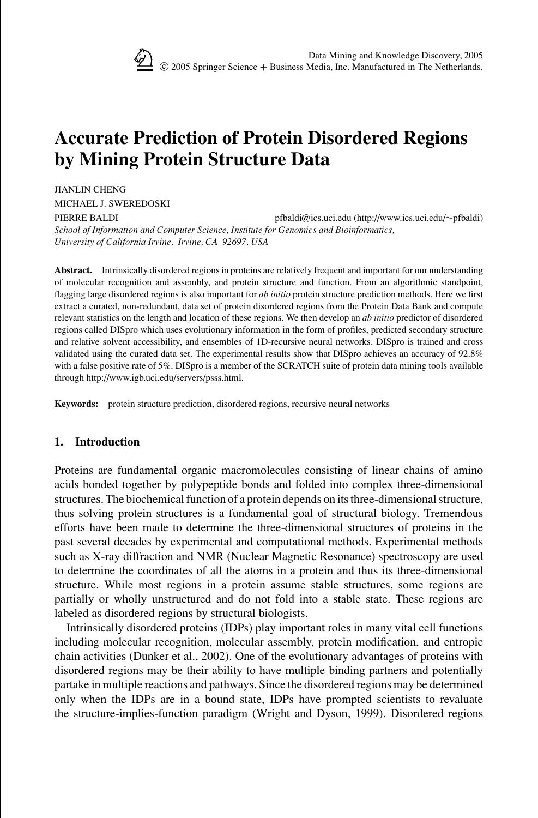

# **Accurate Prediction of Protein Disordered Regions by Mining Protein Structure Data**

JIANLIN CHENG

MICHAEL J. SWEREDOSKI

PIERRE BALDI pfbaldi@ics.uci.edu (http://www.ics.uci.edu/∼pfbaldi) *School of Information and Computer Science, Institute for Genomics and Bioinformatics, University of California Irvine, Irvine, CA 92697, USA*

**Abstract.** Intrinsically disordered regions in proteins are relatively frequent and important for our understanding of molecular recognition and assembly, and protein structure and function. From an algorithmic standpoint, flagging large disordered regions is also important for *ab initio* protein structure prediction methods. Here we first extract a curated, non-redundant, data set of protein disordered regions from the Protein Data Bank and compute relevant statistics on the length and location of these regions. We then develop an *ab initio* predictor of disordered regions called DISpro which uses evolutionary information in the form of profiles, predicted secondary structure and relative solvent accessibility, and ensembles of 1D-recursive neural networks. DISpro is trained and cross validated using the curated data set. The experimental results show that DISpro achieves an accuracy of 92.8% with a false positive rate of 5%. DISpro is a member of the SCRATCH suite of protein data mining tools available through http://www.igb.uci.edu/servers/psss.html.

**Keywords:** protein structure prediction, disordered regions, recursive neural networks

# **1. Introduction**

Proteins are fundamental organic macromolecules consisting of linear chains of amino acids bonded together by polypeptide bonds and folded into complex three-dimensional structures. The biochemical function of a protein depends on its three-dimensional structure, thus solving protein structures is a fundamental goal of structural biology. Tremendous efforts have been made to determine the three-dimensional structures of proteins in the past several decades by experimental and computational methods. Experimental methods such as X-ray diffraction and NMR (Nuclear Magnetic Resonance) spectroscopy are used to determine the coordinates of all the atoms in a protein and thus its three-dimensional structure. While most regions in a protein assume stable structures, some regions are partially or wholly unstructured and do not fold into a stable state. These regions are labeled as disordered regions by structural biologists.

Intrinsically disordered proteins (IDPs) play important roles in many vital cell functions including molecular recognition, molecular assembly, protein modification, and entropic chain activities (Dunker et al., 2002). One of the evolutionary advantages of proteins with disordered regions may be their ability to have multiple binding partners and potentially partake in multiple reactions and pathways. Since the disordered regions may be determined only when the IDPs are in a bound state, IDPs have prompted scientists to revaluate the structure-implies-function paradigm (Wright and Dyson, 1999). Disordered regions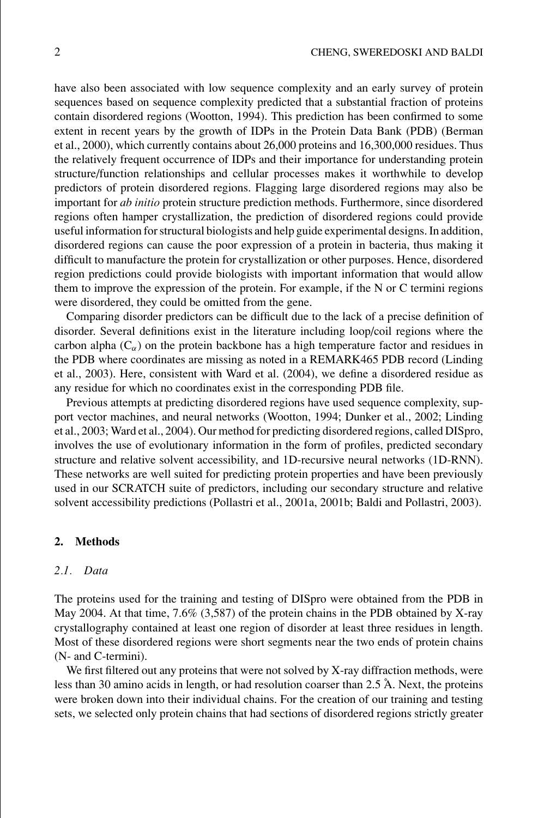have also been associated with low sequence complexity and an early survey of protein sequences based on sequence complexity predicted that a substantial fraction of proteins contain disordered regions (Wootton, 1994). This prediction has been confirmed to some extent in recent years by the growth of IDPs in the Protein Data Bank (PDB) (Berman et al., 2000), which currently contains about 26,000 proteins and 16,300,000 residues. Thus the relatively frequent occurrence of IDPs and their importance for understanding protein structure/function relationships and cellular processes makes it worthwhile to develop predictors of protein disordered regions. Flagging large disordered regions may also be important for *ab initio* protein structure prediction methods. Furthermore, since disordered regions often hamper crystallization, the prediction of disordered regions could provide useful information for structural biologists and help guide experimental designs. In addition, disordered regions can cause the poor expression of a protein in bacteria, thus making it difficult to manufacture the protein for crystallization or other purposes. Hence, disordered region predictions could provide biologists with important information that would allow them to improve the expression of the protein. For example, if the N or C termini regions were disordered, they could be omitted from the gene.

Comparing disorder predictors can be difficult due to the lack of a precise definition of disorder. Several definitions exist in the literature including loop/coil regions where the carbon alpha  $(C_{\alpha})$  on the protein backbone has a high temperature factor and residues in the PDB where coordinates are missing as noted in a REMARK465 PDB record (Linding et al., 2003). Here, consistent with Ward et al. (2004), we define a disordered residue as any residue for which no coordinates exist in the corresponding PDB file.

Previous attempts at predicting disordered regions have used sequence complexity, support vector machines, and neural networks (Wootton, 1994; Dunker et al., 2002; Linding et al., 2003; Ward et al., 2004). Our method for predicting disordered regions, called DISpro, involves the use of evolutionary information in the form of profiles, predicted secondary structure and relative solvent accessibility, and 1D-recursive neural networks (1D-RNN). These networks are well suited for predicting protein properties and have been previously used in our SCRATCH suite of predictors, including our secondary structure and relative solvent accessibility predictions (Pollastri et al., 2001a, 2001b; Baldi and Pollastri, 2003).

#### **2. Methods**

# *2.1. Data*

The proteins used for the training and testing of DISpro were obtained from the PDB in May 2004. At that time, 7.6% (3,587) of the protein chains in the PDB obtained by X-ray crystallography contained at least one region of disorder at least three residues in length. Most of these disordered regions were short segments near the two ends of protein chains (N- and C-termini).

We first filtered out any proteins that were not solved by X-ray diffraction methods, were less than 30 amino acids in length, or had resolution coarser than 2.5 Å. Next, the proteins were broken down into their individual chains. For the creation of our training and testing sets, we selected only protein chains that had sections of disordered regions strictly greater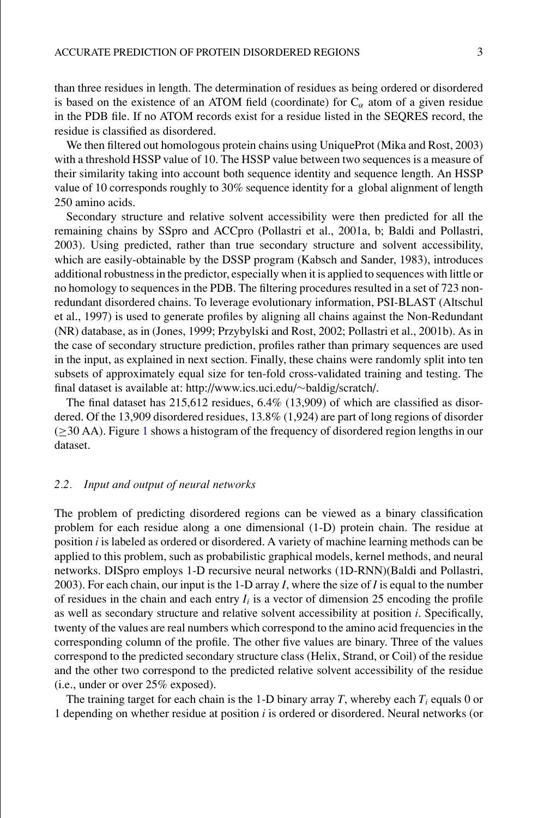than three residues in length. The determination of residues as being ordered or disordered is based on the existence of an ATOM field (coordinate) for  $C_{\alpha}$  atom of a given residue in the PDB file. If no ATOM records exist for a residue listed in the SEQRES record, the residue is classified as disordered.

We then filtered out homologous protein chains using UniqueProt (Mika and Rost, 2003) with a threshold HSSP value of 10. The HSSP value between two sequences is a measure of their similarity taking into account both sequence identity and sequence length. An HSSP value of 10 corresponds roughly to 30% sequence identity for a global alignment of length 250 amino acids.

Secondary structure and relative solvent accessibility were then predicted for all the remaining chains by SSpro and ACCpro (Pollastri et al., 2001a, b; Baldi and Pollastri, 2003). Using predicted, rather than true secondary structure and solvent accessibility, which are easily-obtainable by the DSSP program (Kabsch and Sander, 1983), introduces additional robustness in the predictor, especially when it is applied to sequences with little or no homology to sequences in the PDB. The filtering procedures resulted in a set of 723 nonredundant disordered chains. To leverage evolutionary information, PSI-BLAST (Altschul et al., 1997) is used to generate profiles by aligning all chains against the Non-Redundant (NR) database, as in (Jones, 1999; Przybylski and Rost, 2002; Pollastri et al., 2001b). As in the case of secondary structure prediction, profiles rather than primary sequences are used in the input, as explained in next section. Finally, these chains were randomly split into ten subsets of approximately equal size for ten-fold cross-validated training and testing. The final dataset is available at: http://www.ics.uci.edu/∼baldig/scratch/.

The final dataset has  $215,612$  residues,  $6.4\%$  (13,909) of which are classified as disordered. Of the 13,909 disordered residues, 13.8% (1,924) are part of long regions of disorder (≥30 AA). Figure [1](#page-3-0) shows a histogram of the frequency of disordered region lengths in our dataset.

## *2.2. Input and output of neural networks*

The problem of predicting disordered regions can be viewed as a binary classification problem for each residue along a one dimensional (1-D) protein chain. The residue at position *i* is labeled as ordered or disordered. A variety of machine learning methods can be applied to this problem, such as probabilistic graphical models, kernel methods, and neural networks. DISpro employs 1-D recursive neural networks (1D-RNN)(Baldi and Pollastri, 2003). For each chain, our input is the 1-D array *I*, where the size of *I* is equal to the number of residues in the chain and each entry  $I_i$  is a vector of dimension 25 encoding the profile as well as secondary structure and relative solvent accessibility at position *i*. Specifically, twenty of the values are real numbers which correspond to the amino acid frequencies in the corresponding column of the profile. The other five values are binary. Three of the values correspond to the predicted secondary structure class (Helix, Strand, or Coil) of the residue and the other two correspond to the predicted relative solvent accessibility of the residue (i.e., under or over 25% exposed).

The training target for each chain is the 1-D binary array  $T$ , whereby each  $T_i$  equals 0 or 1 depending on whether residue at position *i* is ordered or disordered. Neural networks (or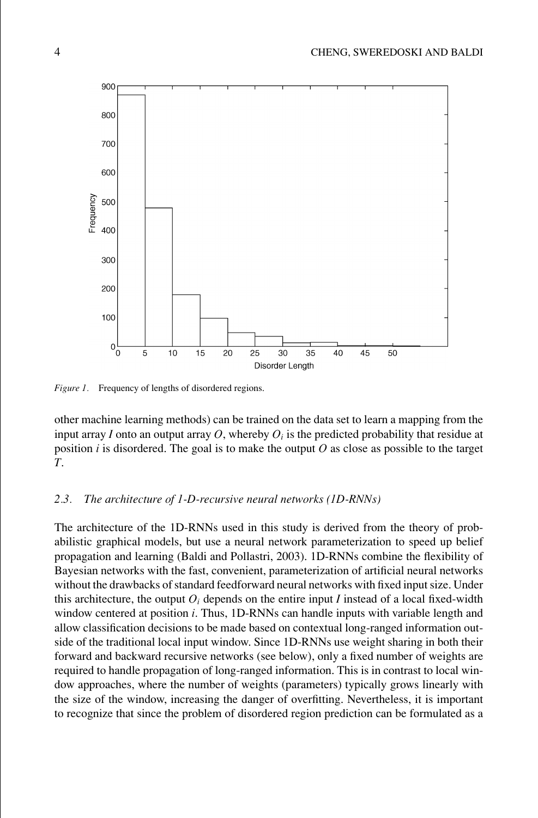<span id="page-3-0"></span>

Figure 1. Frequency of lengths of disordered regions.

other machine learning methods) can be trained on the data set to learn a mapping from the input array *I* onto an output array *O*, whereby  $O_i$  is the predicted probability that residue at position *i* is disordered. The goal is to make the output *O* as close as possible to the target *T*.

## *2.3. The architecture of 1-D-recursive neural networks (1D-RNNs)*

The architecture of the 1D-RNNs used in this study is derived from the theory of probabilistic graphical models, but use a neural network parameterization to speed up belief propagation and learning (Baldi and Pollastri, 2003). 1D-RNNs combine the flexibility of Bayesian networks with the fast, convenient, parameterization of artificial neural networks without the drawbacks of standard feedforward neural networks with fixed input size. Under this architecture, the output  $O_i$  depends on the entire input *I* instead of a local fixed-width window centered at position *i*. Thus, 1D-RNNs can handle inputs with variable length and allow classification decisions to be made based on contextual long-ranged information outside of the traditional local input window. Since 1D-RNNs use weight sharing in both their forward and backward recursive networks (see below), only a fixed number of weights are required to handle propagation of long-ranged information. This is in contrast to local window approaches, where the number of weights (parameters) typically grows linearly with the size of the window, increasing the danger of overfitting. Nevertheless, it is important to recognize that since the problem of disordered region prediction can be formulated as a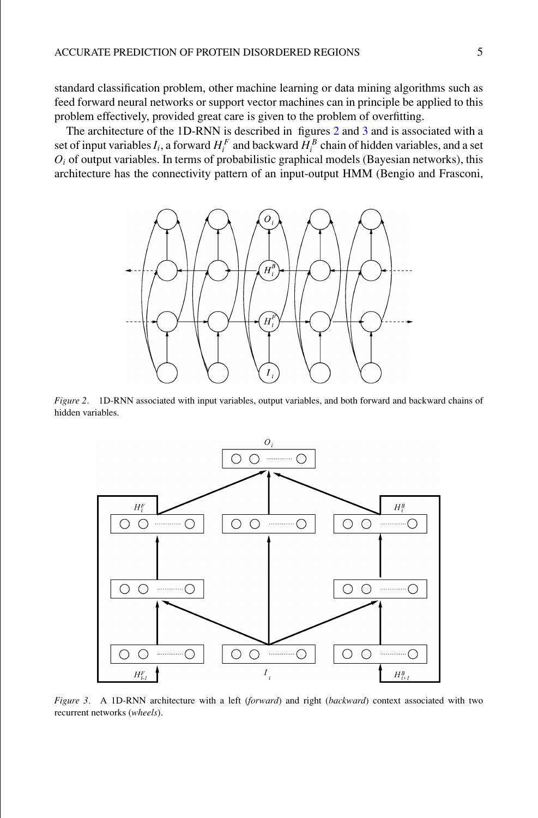standard classification problem, other machine learning or data mining algorithms such as feed forward neural networks or support vector machines can in principle be applied to this problem effectively, provided great care is given to the problem of overfitting.

<span id="page-4-0"></span>The architecture of the 1D-RNN is described in figures [2](#page-4-0) and [3](#page-4-1) and is associated with a set of input variables  $I_i$ , a forward  $H_i^F$  and backward  $H_i^B$  chain of hidden variables, and a set  $O_i$  of output variables. In terms of probabilistic graphical models (Bayesian networks), this architecture has the connectivity pattern of an input-output HMM (Bengio and Frasconi,



<span id="page-4-1"></span>*Figure 2.* 1D-RNN associated with input variables, output variables, and both forward and backward chains of hidden variables.



*Figure 3.* A 1D-RNN architecture with a left (*forward*) and right (*backward*) context associated with two recurrent networks (*wheels*).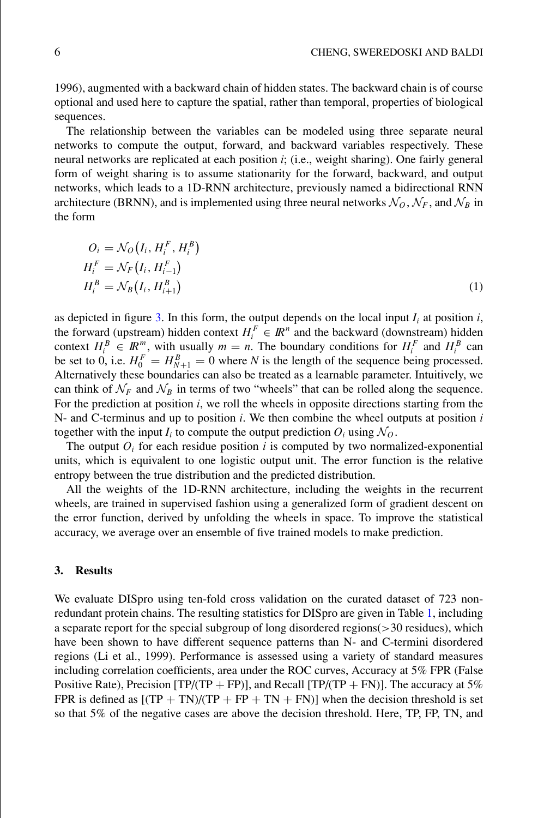1996), augmented with a backward chain of hidden states. The backward chain is of course optional and used here to capture the spatial, rather than temporal, properties of biological sequences.

The relationship between the variables can be modeled using three separate neural networks to compute the output, forward, and backward variables respectively. These neural networks are replicated at each position *i*; (i.e., weight sharing). One fairly general form of weight sharing is to assume stationarity for the forward, backward, and output networks, which leads to a 1D-RNN architecture, previously named a bidirectional RNN architecture (BRNN), and is implemented using three neural networks  $\mathcal{N}_0$ ,  $\mathcal{N}_F$ , and  $\mathcal{N}_B$  in the form

$$
O_i = \mathcal{N}_O(I_i, H_i^F, H_i^B)
$$
  
\n
$$
H_i^F = \mathcal{N}_F(I_i, H_{i-1}^F)
$$
  
\n
$$
H_i^B = \mathcal{N}_B(I_i, H_{i+1}^B)
$$
\n(1)

as depicted in figure [3.](#page-4-1) In this form, the output depends on the local input  $I_i$  at position  $i$ , the forward (upstream) hidden context  $H_i^F \in \mathbb{R}^n$  and the backward (downstream) hidden context  $H_i^B \in \mathbb{R}^m$ , with usually  $m = n$ . The boundary conditions for  $H_i^F$  and  $H_i^B$  can be set to 0, i.e.  $H_0^F = H_{N+1}^B = 0$  where *N* is the length of the sequence being processed. Alternatively these boundaries can also be treated as a learnable parameter. Intuitively, we can think of  $\mathcal{N}_F$  and  $\mathcal{N}_B$  in terms of two "wheels" that can be rolled along the sequence. For the prediction at position *i*, we roll the wheels in opposite directions starting from the N- and C-terminus and up to position *i*. We then combine the wheel outputs at position *i* together with the input  $I_i$  to compute the output prediction  $O_i$  using  $\mathcal{N}_O$ .

The output  $O_i$  for each residue position  $i$  is computed by two normalized-exponential units, which is equivalent to one logistic output unit. The error function is the relative entropy between the true distribution and the predicted distribution.

All the weights of the 1D-RNN architecture, including the weights in the recurrent wheels, are trained in supervised fashion using a generalized form of gradient descent on the error function, derived by unfolding the wheels in space. To improve the statistical accuracy, we average over an ensemble of five trained models to make prediction.

### **3. Results**

We evaluate DISpro using ten-fold cross validation on the curated dataset of 723 nonredundant protein chains. The resulting statistics for DISpro are given in Table [1,](#page-6-0) including a separate report for the special subgroup of long disordered regions(>30 residues), which have been shown to have different sequence patterns than N- and C-termini disordered regions (Li et al., 1999). Performance is assessed using a variety of standard measures including correlation coefficients, area under the ROC curves, Accuracy at 5% FPR (False Positive Rate), Precision [TP/(TP + FP)], and Recall [TP/(TP + FN)]. The accuracy at 5% FPR is defined as  $[(TP + TN)/(TP + FP + TN + FN)]$  when the decision threshold is set so that 5% of the negative cases are above the decision threshold. Here, TP, FP, TN, and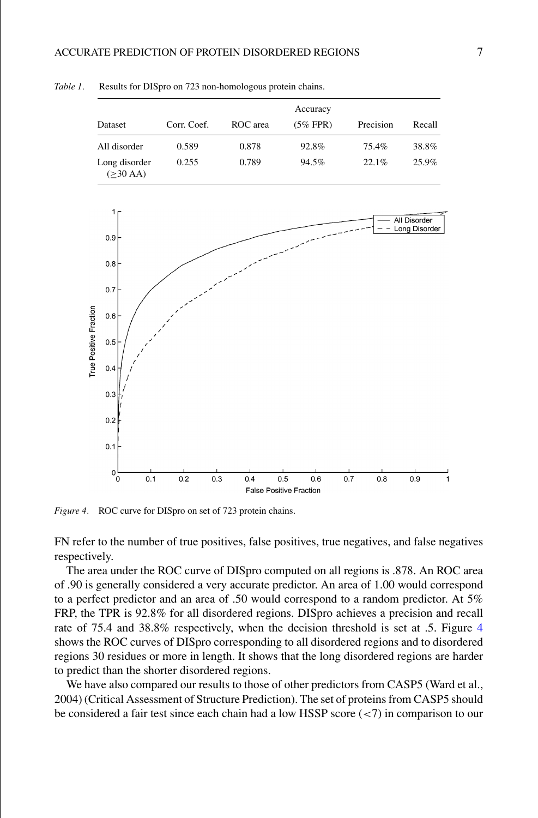

<span id="page-6-1"></span><span id="page-6-0"></span>*Table 1.* Results for DISpro on 723 non-homologous protein chains.

*Figure 4.* ROC curve for DISpro on set of 723 protein chains.

FN refer to the number of true positives, false positives, true negatives, and false negatives respectively.

The area under the ROC curve of DISpro computed on all regions is .878. An ROC area of .90 is generally considered a very accurate predictor. An area of 1.00 would correspond to a perfect predictor and an area of .50 would correspond to a random predictor. At 5% FRP, the TPR is 92.8% for all disordered regions. DISpro achieves a precision and recall rate of 75.4 and 38.8% respectively, when the decision threshold is set at .5. Figure [4](#page-6-1) shows the ROC curves of DISpro corresponding to all disordered regions and to disordered regions 30 residues or more in length. It shows that the long disordered regions are harder to predict than the shorter disordered regions.

We have also compared our results to those of other predictors from CASP5 (Ward et al., 2004) (Critical Assessment of Structure Prediction). The set of proteins from CASP5 should be considered a fair test since each chain had a low HSSP score (<7) in comparison to our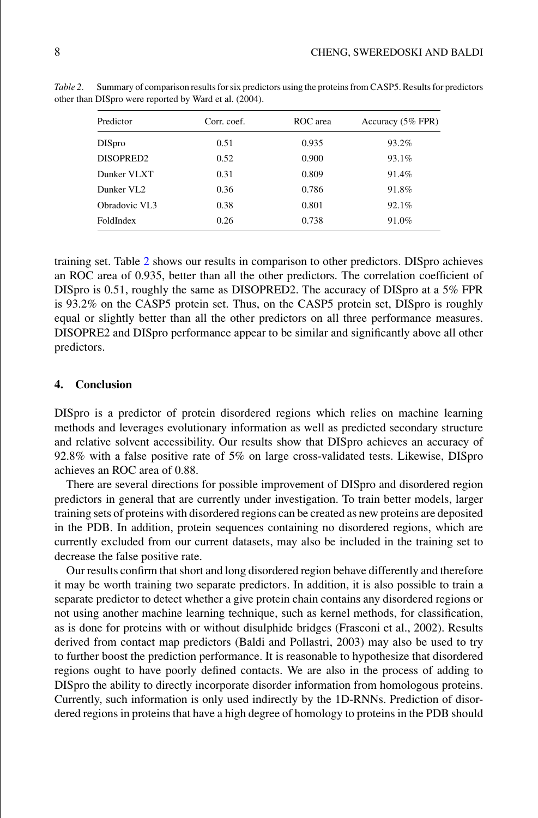| Predictor              | Corr. coef. | ROC area | Accuracy (5% FPR) |
|------------------------|-------------|----------|-------------------|
| <b>DISpro</b>          | 0.51        | 0.935    | 93.2%             |
| DISOPRED <sub>2</sub>  | 0.52        | 0.900    | 93.1%             |
| Dunker VLXT            | 0.31        | 0.809    | 91.4%             |
| Dunker VL <sub>2</sub> | 0.36        | 0.786    | 91.8%             |
| Obradovic VL3          | 0.38        | 0.801    | 92.1%             |
| FoldIndex              | 0.26        | 0.738    | 91.0%             |

<span id="page-7-0"></span>*Table 2.* Summary of comparison results for six predictors using the proteins from CASP5. Results for predictors other than DISpro were reported by Ward et al. (2004).

training set. Table [2](#page-7-0) shows our results in comparison to other predictors. DISpro achieves an ROC area of 0.935, better than all the other predictors. The correlation coefficient of DISpro is 0.51, roughly the same as DISOPRED2. The accuracy of DISpro at a 5% FPR is 93.2% on the CASP5 protein set. Thus, on the CASP5 protein set, DISpro is roughly equal or slightly better than all the other predictors on all three performance measures. DISOPRE2 and DISpro performance appear to be similar and significantly above all other predictors.

#### **4. Conclusion**

DISpro is a predictor of protein disordered regions which relies on machine learning methods and leverages evolutionary information as well as predicted secondary structure and relative solvent accessibility. Our results show that DISpro achieves an accuracy of 92.8% with a false positive rate of 5% on large cross-validated tests. Likewise, DISpro achieves an ROC area of 0.88.

There are several directions for possible improvement of DISpro and disordered region predictors in general that are currently under investigation. To train better models, larger training sets of proteins with disordered regions can be created as new proteins are deposited in the PDB. In addition, protein sequences containing no disordered regions, which are currently excluded from our current datasets, may also be included in the training set to decrease the false positive rate.

Our results confirm that short and long disordered region behave differently and therefore it may be worth training two separate predictors. In addition, it is also possible to train a separate predictor to detect whether a give protein chain contains any disordered regions or not using another machine learning technique, such as kernel methods, for classification, as is done for proteins with or without disulphide bridges (Frasconi et al., 2002). Results derived from contact map predictors (Baldi and Pollastri, 2003) may also be used to try to further boost the prediction performance. It is reasonable to hypothesize that disordered regions ought to have poorly defined contacts. We are also in the process of adding to DISpro the ability to directly incorporate disorder information from homologous proteins. Currently, such information is only used indirectly by the 1D-RNNs. Prediction of disordered regions in proteins that have a high degree of homology to proteins in the PDB should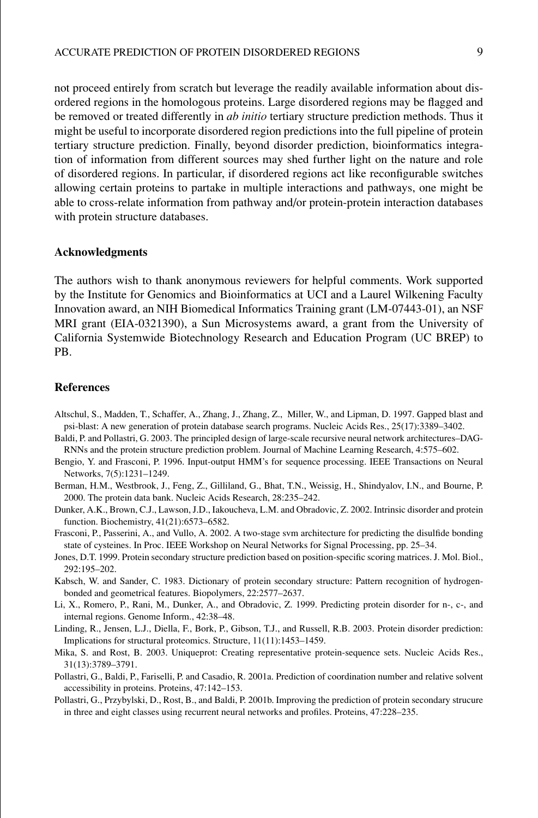not proceed entirely from scratch but leverage the readily available information about disordered regions in the homologous proteins. Large disordered regions may be flagged and be removed or treated differently in *ab initio* tertiary structure prediction methods. Thus it might be useful to incorporate disordered region predictions into the full pipeline of protein tertiary structure prediction. Finally, beyond disorder prediction, bioinformatics integration of information from different sources may shed further light on the nature and role of disordered regions. In particular, if disordered regions act like reconfigurable switches allowing certain proteins to partake in multiple interactions and pathways, one might be able to cross-relate information from pathway and/or protein-protein interaction databases with protein structure databases.

#### **Acknowledgments**

The authors wish to thank anonymous reviewers for helpful comments. Work supported by the Institute for Genomics and Bioinformatics at UCI and a Laurel Wilkening Faculty Innovation award, an NIH Biomedical Informatics Training grant (LM-07443-01), an NSF MRI grant (EIA-0321390), a Sun Microsystems award, a grant from the University of California Systemwide Biotechnology Research and Education Program (UC BREP) to PB.

#### **References**

- Altschul, S., Madden, T., Schaffer, A., Zhang, J., Zhang, Z., Miller, W., and Lipman, D. 1997. Gapped blast and psi-blast: A new generation of protein database search programs. Nucleic Acids Res., 25(17):3389–3402.
- Baldi, P. and Pollastri, G. 2003. The principled design of large-scale recursive neural network architectures–DAG-RNNs and the protein structure prediction problem. Journal of Machine Learning Research, 4:575–602.
- Bengio, Y. and Frasconi, P. 1996. Input-output HMM's for sequence processing. IEEE Transactions on Neural Networks, 7(5):1231–1249.
- Berman, H.M., Westbrook, J., Feng, Z., Gilliland, G., Bhat, T.N., Weissig, H., Shindyalov, I.N., and Bourne, P. 2000. The protein data bank. Nucleic Acids Research, 28:235–242.
- Dunker, A.K., Brown, C.J., Lawson, J.D., Iakoucheva, L.M. and Obradovic, Z. 2002. Intrinsic disorder and protein function. Biochemistry, 41(21):6573–6582.
- Frasconi, P., Passerini, A., and Vullo, A. 2002. A two-stage svm architecture for predicting the disulfide bonding state of cysteines. In Proc. IEEE Workshop on Neural Networks for Signal Processing, pp. 25–34.
- Jones, D.T. 1999. Protein secondary structure prediction based on position-specific scoring matrices. J. Mol. Biol., 292:195–202.
- Kabsch, W. and Sander, C. 1983. Dictionary of protein secondary structure: Pattern recognition of hydrogenbonded and geometrical features. Biopolymers, 22:2577–2637.
- Li, X., Romero, P., Rani, M., Dunker, A., and Obradovic, Z. 1999. Predicting protein disorder for n-, c-, and internal regions. Genome Inform., 42:38–48.
- Linding, R., Jensen, L.J., Diella, F., Bork, P., Gibson, T.J., and Russell, R.B. 2003. Protein disorder prediction: Implications for structural proteomics. Structure, 11(11):1453–1459.
- Mika, S. and Rost, B. 2003. Uniqueprot: Creating representative protein-sequence sets. Nucleic Acids Res., 31(13):3789–3791.
- Pollastri, G., Baldi, P., Fariselli, P. and Casadio, R. 2001a. Prediction of coordination number and relative solvent accessibility in proteins. Proteins, 47:142–153.
- Pollastri, G., Przybylski, D., Rost, B., and Baldi, P. 2001b. Improving the prediction of protein secondary strucure in three and eight classes using recurrent neural networks and profiles. Proteins, 47:228–235.